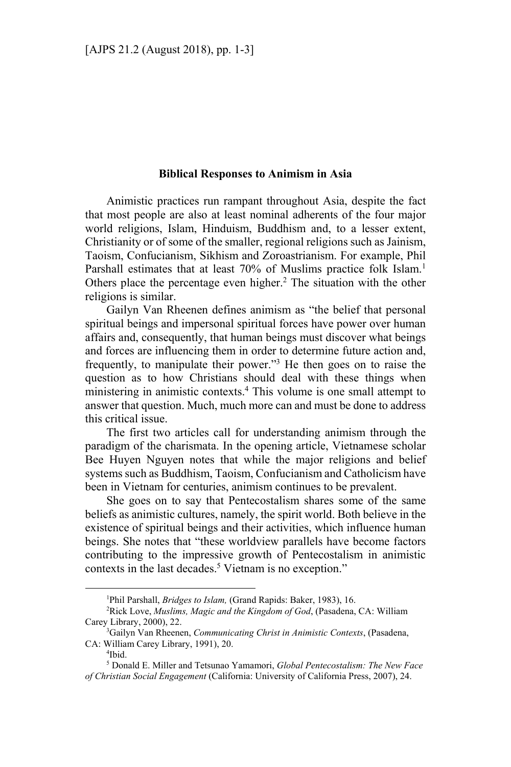## **Biblical Responses to Animism in Asia**

Animistic practices run rampant throughout Asia, despite the fact that most people are also at least nominal adherents of the four major world religions, Islam, Hinduism, Buddhism and, to a lesser extent, Christianity or of some of the smaller, regional religions such as Jainism, Taoism, Confucianism, Sikhism and Zoroastrianism. For example, Phil Parshall estimates that at least 70% of Muslims practice folk Islam.<sup>1</sup> Others place the percentage even higher.<sup>2</sup> The situation with the other religions is similar.

Gailyn Van Rheenen defines animism as "the belief that personal spiritual beings and impersonal spiritual forces have power over human affairs and, consequently, that human beings must discover what beings and forces are influencing them in order to determine future action and, frequently, to manipulate their power."<sup>3</sup> He then goes on to raise the question as to how Christians should deal with these things when ministering in animistic contexts.4 This volume is one small attempt to answer that question. Much, much more can and must be done to address this critical issue.

The first two articles call for understanding animism through the paradigm of the charismata. In the opening article, Vietnamese scholar Bee Huyen Nguyen notes that while the major religions and belief systems such as Buddhism, Taoism, Confucianism and Catholicism have been in Vietnam for centuries, animism continues to be prevalent.

She goes on to say that Pentecostalism shares some of the same beliefs as animistic cultures, namely, the spirit world. Both believe in the existence of spiritual beings and their activities, which influence human beings. She notes that "these worldview parallels have become factors contributing to the impressive growth of Pentecostalism in animistic contexts in the last decades.<sup>5</sup> Vietnam is no exception."

 $\overline{a}$ 

<sup>&</sup>lt;sup>1</sup>Phil Parshall, *Bridges to Islam*, (Grand Rapids: Baker, 1983), 16.<br><sup>2</sup>Pick Love, *Muslims, Magic and the Kingdom of God* (Pasadana)

Rick Love, *Muslims, Magic and the Kingdom of God*, (Pasadena, CA: William Carey Library, 2000), 22.

Gailyn Van Rheenen, *Communicating Christ in Animistic Contexts*, (Pasadena, CA: William Carey Library, 1991), 20. 4

 $4$ Ibid.

<sup>5</sup> Donald E. Miller and Tetsunao Yamamori, *Global Pentecostalism: The New Face of Christian Social Engagement* (California: University of California Press, 2007), 24.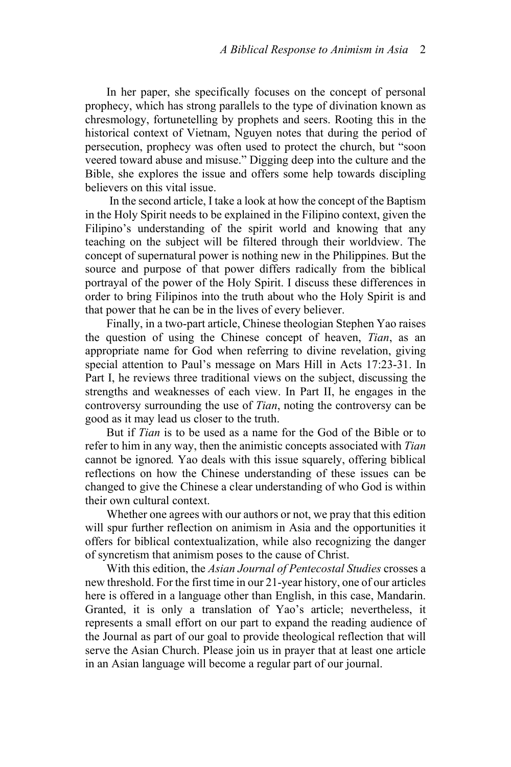In her paper, she specifically focuses on the concept of personal prophecy, which has strong parallels to the type of divination known as chresmology, fortunetelling by prophets and seers. Rooting this in the historical context of Vietnam, Nguyen notes that during the period of persecution, prophecy was often used to protect the church, but "soon veered toward abuse and misuse." Digging deep into the culture and the Bible, she explores the issue and offers some help towards discipling believers on this vital issue.

 In the second article, I take a look at how the concept of the Baptism in the Holy Spirit needs to be explained in the Filipino context, given the Filipino's understanding of the spirit world and knowing that any teaching on the subject will be filtered through their worldview. The concept of supernatural power is nothing new in the Philippines. But the source and purpose of that power differs radically from the biblical portrayal of the power of the Holy Spirit. I discuss these differences in order to bring Filipinos into the truth about who the Holy Spirit is and that power that he can be in the lives of every believer.

Finally, in a two-part article, Chinese theologian Stephen Yao raises the question of using the Chinese concept of heaven, *Tian*, as an appropriate name for God when referring to divine revelation, giving special attention to Paul's message on Mars Hill in Acts 17:23-31. In Part I, he reviews three traditional views on the subject, discussing the strengths and weaknesses of each view. In Part II, he engages in the controversy surrounding the use of *Tian*, noting the controversy can be good as it may lead us closer to the truth.

But if *Tian* is to be used as a name for the God of the Bible or to refer to him in any way, then the animistic concepts associated with *Tian* cannot be ignored*.* Yao deals with this issue squarely, offering biblical reflections on how the Chinese understanding of these issues can be changed to give the Chinese a clear understanding of who God is within their own cultural context.

Whether one agrees with our authors or not, we pray that this edition will spur further reflection on animism in Asia and the opportunities it offers for biblical contextualization, while also recognizing the danger of syncretism that animism poses to the cause of Christ.

With this edition, the *Asian Journal of Pentecostal Studies* crosses a new threshold. For the first time in our 21-year history, one of our articles here is offered in a language other than English, in this case, Mandarin. Granted, it is only a translation of Yao's article; nevertheless, it represents a small effort on our part to expand the reading audience of the Journal as part of our goal to provide theological reflection that will serve the Asian Church. Please join us in prayer that at least one article in an Asian language will become a regular part of our journal.